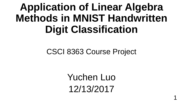## **Application of Linear Algebra Methods in MNIST Handwritten Digit Classification**

#### CSCI 8363 Course Project

Yuchen Luo 12/13/2017

1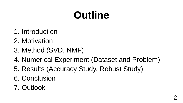## **Outline**

- 1. Introduction
- 2. Motivation
- 3. Method (SVD, NMF)
- 4. Numerical Experiment (Dataset and Problem)
- 5. Results (Accuracy Study, Robust Study)
- 6. Conclusion
- 7. Outlook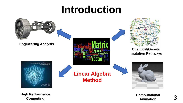## **Introduction**



**Computing**

**Computational Animation**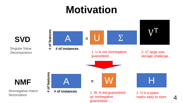## **Motivation**

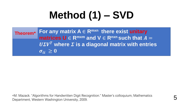# **Method (1) – SVD**

| Theorem <sup>*</sup> For any matrix $A \in R^{m \times n}$ there exist unitary<br>matrices $U \in R^{m \times m}$ and $V \in R^{n \times n}$ such that $A = \emptyset$ |
|------------------------------------------------------------------------------------------------------------------------------------------------------------------------|
| $\boldsymbol{U\Sigma} \boldsymbol{V}^T$ where $\boldsymbol{\Sigma}$ is a diagonal matrix with entries<br>$\sigma_{ii} \geq 0$                                          |

\*M. Mazack. "Algorithms for Handwritten Digit Recognition." Master's colloquium, Mathematics Department, Western Washington University, 2009. 5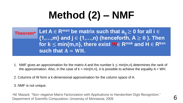# **Method (2) – NMF**

| Theorem <sup>*</sup> Let $A \in R^{mxn}$ be matrix such that $a_{ii} \ge 0$ for all $i \in R$ |
|-----------------------------------------------------------------------------------------------|
| $\{1,,m\}$ and $j \in \{1,,n\}$ (henceforth, $A \ge 0$ ). Then                                |
| for $k \leq min\{m,n\}$ , there exist $W \in R^{mxk}$ and $H \in R^{kxn}$                     |
| such that $A \approx WH$ .                                                                    |

- 1. NMF gives an approximation for the matrix A and the number  $k \leq min\{m,n\}$  determines the rank of the approximation. Also, in the case of  $k = min\{m, n\}$ , it is possible to achieve the equality  $A = WH$ .
- 2. Columns of W form a k-dimensional approximation for the column space of A.
- 3. NMF is not unique.

\*M. Mazack. "Non-negative Matrix Factorization with Applications to Handwritten Digit Recognition." Department of Scientific Computation, University of Minnesota, 2009.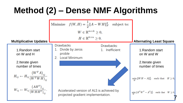#### **Method (2) – Dense NMF Algorithms**

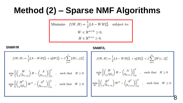#### **Method (2) – Sparse NMF Algorithms**

Minimize 
$$
f(W, H) = \frac{1}{2} ||A - WH||_F^2
$$
 subject to:  
\n
$$
W \in \mathbb{R}^{m \times k} \ge 0,
$$
\n
$$
H \in \mathbb{R}^{k \times n} \ge 0.
$$

**SNMF/R SNMF/L**

- 1

$$
f(W, H) = \frac{1}{2} ||A - WH||_F^2 + \eta ||W||_F^2 + \beta \sum_{j=1}^n ||H(:,j)||_1^2.
$$
  

$$
\min_H \left| \left| \begin{pmatrix} W \\ \sqrt{\beta}e_{1\times k} \end{pmatrix} H - \begin{pmatrix} A \\ 0_{1\times n} \end{pmatrix} \right| \right|_F^2 , \text{ such that } H \ge 0.
$$
  

$$
\min_W \left| \left| \begin{pmatrix} H^T \\ \sqrt{\eta}I_k \end{pmatrix} W^T - \begin{pmatrix} A^T \\ 0_{k\times m} \end{pmatrix} \right| \right|_F^2 , \text{ such that } W \ge 0.
$$

$$
f(W, H) = \frac{1}{2} ||A - WH||_F^2 + \eta ||H||_F^2 + \beta \sum_{i=1}^m ||W(i, :)||_1^2.
$$
  

$$
\min_H \left| \left| \left( \frac{W}{\sqrt{\eta} I_k} \right) H - \left( \frac{A}{0_{k \times n}} \right) \right| \right|_F^2 , \text{ such that } H \ge 0
$$
  

$$
\min_W \left| \left| \left( \frac{H^T}{\sqrt{\beta} e_{1 \times k}} \right) W^T - \left( \frac{A^T}{0_{1 \times m}} \right) \right| \right|_F^2 , \text{ such that } W \ge 0.
$$

8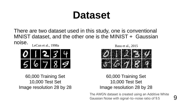## **Dataset**

There are two dataset used in this study, one is conventional MNIST dataset, and the other one is the MINIST + Gaussian noise. LeCun et al., 1998a



60,000 Training Set 10,000 Test Set Image resolution 28 by 28 Basu et al., 2015



60,000 Training Set 10,000 Test Set Image resolution 28 by 28

The AWGN dataset is created using an Additive White Gaussian Noise with signal-to-noise ratio of 9.5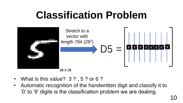## **Classification Problem**



- What is this value? 3 ? , 5 ? or 6 ?
- Automatic recognition of the handwritten digit and classify it to '0' to '9' digits is the classification problem we are dealing.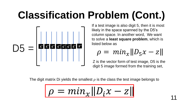# **Classification Problem (Cont.)**



If a test image is also digit 5, then it is most likely in the space spanned by the D5's column space. In another word, We want to solve a **least square problem**, which is listed below as

$$
\rho = \min_{x} ||D_5 x - z||
$$

Z is the vector form of test image, D5 is the digit 5 image formed from the training set,

The digit matrix Di yields the smallest  $\rho$  is the class the test image belongs to

$$
\rho = min_{\mathbf{x}} ||D_i \mathbf{x} - \mathbf{z}||
$$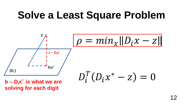## **Solve a Least Square Problem**

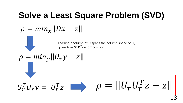#### **Solve a Least Square Problem (SVD)**

$$
\rho = min_{x} ||Dx - z||
$$

Leading r column of U spans the column space of D, given  $D = U\Sigma V^T$ decomposition

 $z \rightarrow \rho = ||U_r U_r^T$ 

$$
\rho = min_{y} ||U_r y - z||
$$

 $U_r^T U_r y = U_r^T$ 

13

 $\overline{T}$ 

 $Z-Z$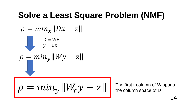#### **Solve a Least Square Problem (NMF)**

$$
\rho = \min_{\mathbf{y} = \mathbf{W} \mathbf{H}} \|\mathbf{D} \mathbf{x} - \mathbf{z}\|
$$
\n
$$
\rho = \min_{\mathbf{y} = \mathbf{H} \mathbf{x}} \|\mathbf{W} \mathbf{y} - \mathbf{z}\|
$$
\n
$$
\rho = \min_{\mathbf{y}} \|\mathbf{W}_{\mathbf{y}} \mathbf{y} - \mathbf{z}\|
$$

The first r column of W spans the column space of D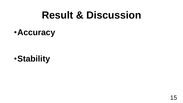## **Result & Discussion**

#### •**Accuracy**

•**Stability**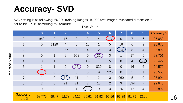### **Accuracy- SVD**

SVD setting is as following: 60,000 training images, 10,000 test images, truncated dimension is set to be  $k = 10$  according to literature

|           |                      | $\bf{0}$       | $\overline{1}$ | $\overline{2}$ | 3               | $\overline{4}$ | 5              | 6              | $\overline{\mathcal{L}}$ | 8              | 9                 | <b>Accuracy %</b> |
|-----------|----------------------|----------------|----------------|----------------|-----------------|----------------|----------------|----------------|--------------------------|----------------|-------------------|-------------------|
|           | $\overline{0}$       | 968            | $\overline{0}$ | 15             | $\overline{2}$  | $\mathcal{S}$  | $\overline{4}$ | 13             | $\overline{0}$           | $\overline{7}$ | $6\phantom{1}6$   | 95.088            |
|           | 1                    | $\overline{0}$ | 1129           | $\overline{4}$ | $\overline{0}$  | 10             | $\mathbf 1$    | 5              | 16                       | 6              | 9                 | 95.678            |
|           | $\overline{2}$       | $\mathbf 1$    | 3              | 957            | 5               | $\overline{4}$ | $\overline{2}$ | $\overline{0}$ | 14                       | 8              | $\overline{4}$    | 95.892            |
| Value     | 3                    | $\overline{0}$ | $\mathbf 1$    | 9              | 952             | $\overline{0}$ | 31             | $\overline{0}$ | $\mathbf 1$              | 17             | 5                 | 93.701            |
|           | $\overline{4}$       | $\overline{0}$ | $\mathbf 1$    | 6              | $\overline{0}$  | 939            | $\mathbf 1$    | 5              | 8                        | $\overline{4}$ | $\left(21\right)$ | 95.427            |
|           | 5                    | $\mathbf 1$    | $\mathbf 1$    | $\theta$       | 15 <sup>2</sup> | $\overline{0}$ | 820            | 8              | $\overline{0}$           | 16             | $6\phantom{1}6$   | 94.579            |
| Predicted | 6                    |                | $\overline{0}$ | 5              | $\overline{0}$  | 5              | 9              | 925            | $\overline{0}$           | 5              | $\mathbf 1$       | 96.555            |
|           | 7                    | $\mathbf 1$    | $\overline{0}$ | 12             | 11              | $\mathbf 1$    | $\overline{2}$ | $\overline{0}$ | 960                      | 5              | 9                 | 95.904            |
|           | 8                    | $\overline{2}$ | $\overline{0}$ | 21             | 21              | $\overline{2}$ | 13             | $\overline{2}$ | 3                        | 894            | $\overline{7}$    | 92.643            |
|           | 9                    | $\overline{0}$ | $\overline{0}$ | 3              | $\overline{4}$  | 18             | 9              | $\overline{0}$ | 26                       | 12             | 941               | 92.892            |
|           | Successful<br>rate % | 98.775         | 99.47          | 92.73          | 94.26           | 95.62          | 91.93          | 96.56          | 93.39                    | 91.79          | 93.26             |                   |

**True Value**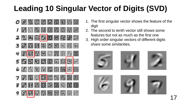#### **Leading 10 Singular Vector of Digits (SVD)**



- 1. The first singular vector shows the feature of the digit
- 2. The second to tenth vector still shows some features but not as much as the first one
- 3. High order singular vectors of different digits share some similarities.

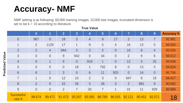#### **Accuracy- NMF**

**True Value** NMF setting is as following: 60,000 training images, 10,000 test images, truncated dimension is set to be  $k = 10$  according to literature

|                 |                      | $\overline{0}$ | 1              | 2              | 3              | $\overline{4}$ | 5              | 6              | $\overline{\phantom{a}}$ | 8              | 9               | <b>Accuracy %</b> |
|-----------------|----------------------|----------------|----------------|----------------|----------------|----------------|----------------|----------------|--------------------------|----------------|-----------------|-------------------|
| Predicted Value | $\overline{0}$       | 967            | $\overline{0}$ | 18             | 3              | $\overline{4}$ | 9              | 17             | $\overline{2}$           | 13             | $\overline{7}$  | 92.981            |
|                 | $\mathbf 1$          | $\overline{2}$ | 1129           | 17             | $\mathbf 1$    | 9              | 5              | $\overline{4}$ | 16                       | 13             | 5               | 94.005            |
|                 | $\overline{2}$       | $\overline{2}$ | $\overline{4}$ | 944            | 3              | $\mathcal{S}$  | $\overline{2}$ | $\overline{0}$ | 16                       | $6\phantom{1}$ | $\overline{4}$  | 95.935            |
|                 | 3                    | $\overline{0}$ | $\overline{0}$ | 9              | 942            | $\overline{0}$ | 34             | $\overline{0}$ | $\overline{2}$           | 9              | $6\phantom{1}$  | 94.012            |
|                 | $\overline{4}$       | $\overline{0}$ | $\mathbf 1$    | 5              | $\overline{0}$ | 919            | $\mathbf 1$    | $\overline{0}$ | 12                       | 5              | 25              | 94.938            |
|                 | 5                    | $\overline{0}$ | $\overline{0}$ | $\overline{0}$ | 18             | $\mathbf 1$    | 792            | 8              | $\overline{0}$           | 13             | $5\overline{)}$ | 94.624            |
|                 | 6                    | 6              | $\mathbf 1$    | $\overline{3}$ | $\overline{0}$ | $6\phantom{1}$ | 11             | 925            | $\overline{0}$           | 14             | $\overline{0}$  | 95.756            |
|                 | $\overline{7}$       | 1              | $\overline{0}$ | 12             | 10             | $\overline{2}$ | $\mathcal{S}$  | $\overline{0}$ | 947                      | 9              | 19              | 94.417            |
|                 | 8                    | 2 <sup>1</sup> | $\overline{0}$ | 22             | 26             | 5              | 28             | 3              | $\overline{2}$           | 881            | 9               | 90.082            |
|                 | 9                    | $\overline{0}$ | $\overline{0}$ | $\overline{2}$ | $\overline{7}$ | 33             | $\overline{7}$ | $\mathbf 1$    | 31                       | 11             | 929             | 90.989            |
|                 | Successful<br>rate % | 98.674         | 99.471         | 91.473         | 93.267         | 93.585         | 88.789         | 96.555         | 92.121                   | 90.451         | 92.071          | 18                |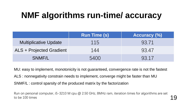#### **NMF algorithms run-time/ accuracy**

|                                 | <b>Run Time (s)</b> | <b>Accuracy (%)</b> |
|---------------------------------|---------------------|---------------------|
| <b>Multiplicative Update</b>    | 115                 | 93.71               |
| <b>ALS + Projected Gradient</b> | 144                 | 93.47               |
| SNMF/L                          | 5400                | 93.17               |

MU: easy to implement, monotonicity is not guaranteed, convergence rate is not the fastest ALS : nonnegativity constrain needs to implement, converge might be faster than MU SNMF/L : control sparsity of the produced matrix by the factorization

Run on personal computer, i5-3210 M cpu @ 2.50 GHz, 8MHz ram, iteration times for algorithms are set to be 100 times  $19$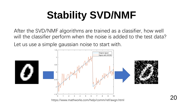# **Stability SVD/NMF**

After the SVD/NMF algorithms are trained as a classifier, how well will the classifier perform when the noise is added to the test data? Let us use a simple gaussian noise to start with.



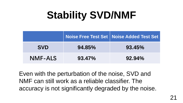# **Stability SVD/NMF**

|                |        | Noise Free Test Set   Noise Added Test Set |
|----------------|--------|--------------------------------------------|
| <b>SVD</b>     | 94.85% | 93.45%                                     |
| <b>NMF-ALS</b> | 93.47% | $92.94\%$                                  |

Even with the perturbation of the noise, SVD and NMF can still work as a reliable classifier. The accuracy is not significantly degraded by the noise.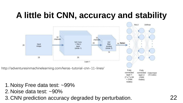#### **A little bit CNN, accuracy and stability**



nodes)

- 1.Noisy Free data test: ~99%
- 2.Noise data test: ~90%
- 3.CNN prediction accuracy degraded by perturbation.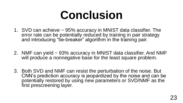# **Conclusion**

- 1. SVD can achieve ~ 95% accuracy in MNIST data classifier. The error rate can be potentially reduced by training in pair strategy and introducing "tie-breaker" algorithm in the training pair.
- 2. NMF can yield ~ 93% accuracy in MNIST data classifier. And NMF will produce a nonnegative base for the least square problem.
- 3. Both SVD and NMF can resist the perturbation of the noise. But CNN's prediction accuracy is jeopardized by the noise and can be potentially restored by using new parameters or SVD/NMF as the first prescreening layer.